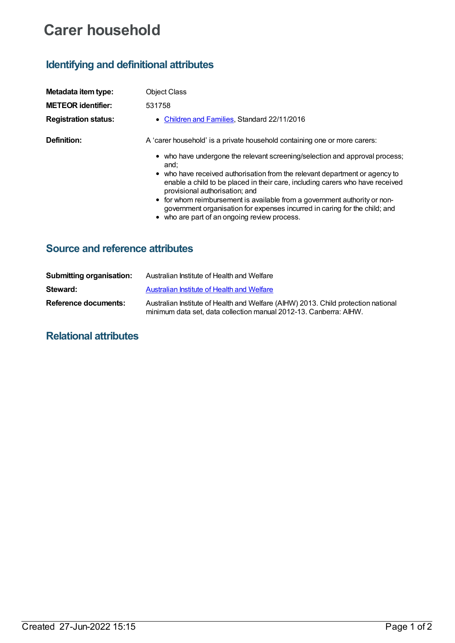# **Carer household**

## **Identifying and definitional attributes**

| Metadata item type:         | <b>Object Class</b>                                                                                                                                                                                                                                                                                                                                                                                                                                                                              |
|-----------------------------|--------------------------------------------------------------------------------------------------------------------------------------------------------------------------------------------------------------------------------------------------------------------------------------------------------------------------------------------------------------------------------------------------------------------------------------------------------------------------------------------------|
| <b>METEOR identifier:</b>   | 531758                                                                                                                                                                                                                                                                                                                                                                                                                                                                                           |
| <b>Registration status:</b> | • Children and Families, Standard 22/11/2016                                                                                                                                                                                                                                                                                                                                                                                                                                                     |
| Definition:                 | A 'carer household' is a private household containing one or more carers:                                                                                                                                                                                                                                                                                                                                                                                                                        |
|                             | • who have undergone the relevant screening/selection and approval process;<br>and:<br>• who have received authorisation from the relevant department or agency to<br>enable a child to be placed in their care, including carers who have received<br>provisional authorisation; and<br>• for whom reimbursement is available from a government authority or non-<br>government organisation for expenses incurred in caring for the child; and<br>• who are part of an ongoing review process. |

### **Source and reference attributes**

| <b>Submitting organisation:</b> | Australian Institute of Health and Welfare                                                                                                             |
|---------------------------------|--------------------------------------------------------------------------------------------------------------------------------------------------------|
| Steward:                        | Australian Institute of Health and Welfare                                                                                                             |
| Reference documents:            | Australian Institute of Health and Welfare (AIHW) 2013. Child protection national<br>minimum data set, data collection manual 2012-13. Canberra: AIHW. |

### **Relational attributes**